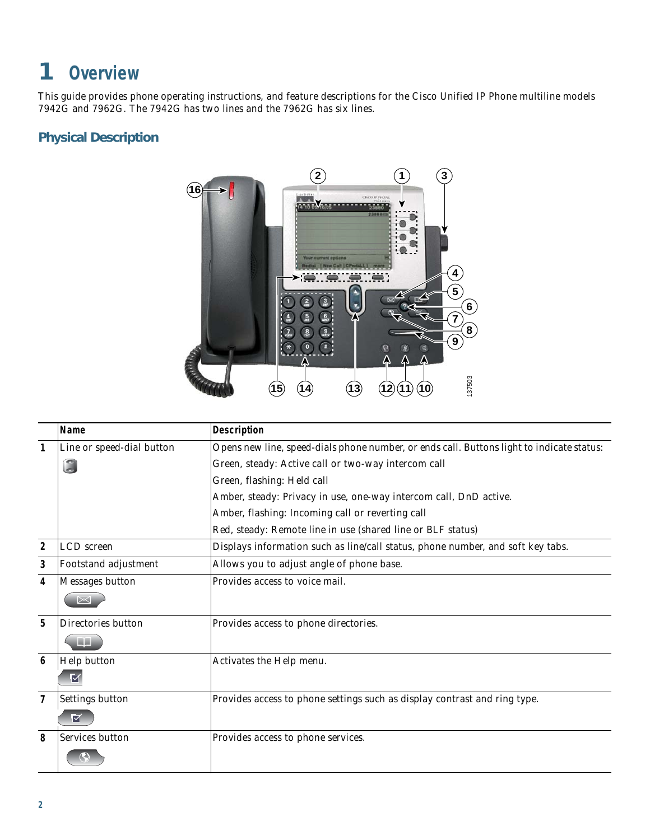## **Overview**

This guide provides phone operating instructions, and feature descriptions for the Cisco Unified IP Phone multiline models 7942G and 7962G. The 7942G has two lines and the 7962G has six lines.

## **Physical Description**



|                | Name                      | <b>Description</b>                                                                        |
|----------------|---------------------------|-------------------------------------------------------------------------------------------|
| 1              | Line or speed-dial button | Opens new line, speed-dials phone number, or ends call. Buttons light to indicate status: |
|                | $\odot$                   | Green, steady: Active call or two-way intercom call                                       |
|                |                           | Green, flashing: Held call                                                                |
|                |                           | Amber, steady: Privacy in use, one-way intercom call, DnD active.                         |
|                |                           | Amber, flashing: Incoming call or reverting call                                          |
|                |                           | Red, steady: Remote line in use (shared line or BLF status)                               |
| $\mathbf{2}$   | LCD screen                | Displays information such as line/call status, phone number, and soft key tabs.           |
| 3              | Footstand adjustment      | Allows you to adjust angle of phone base.                                                 |
| 4              | Messages button           | Provides access to voice mail.                                                            |
|                |                           |                                                                                           |
| 5              | Directories button        | Provides access to phone directories.                                                     |
|                |                           |                                                                                           |
| 6              | Help button               | Activates the Help menu.                                                                  |
|                |                           |                                                                                           |
| $\overline{1}$ | Settings button           | Provides access to phone settings such as display contrast and ring type.                 |
|                | M                         |                                                                                           |
| 8              | Services button           | Provides access to phone services.                                                        |
|                |                           |                                                                                           |